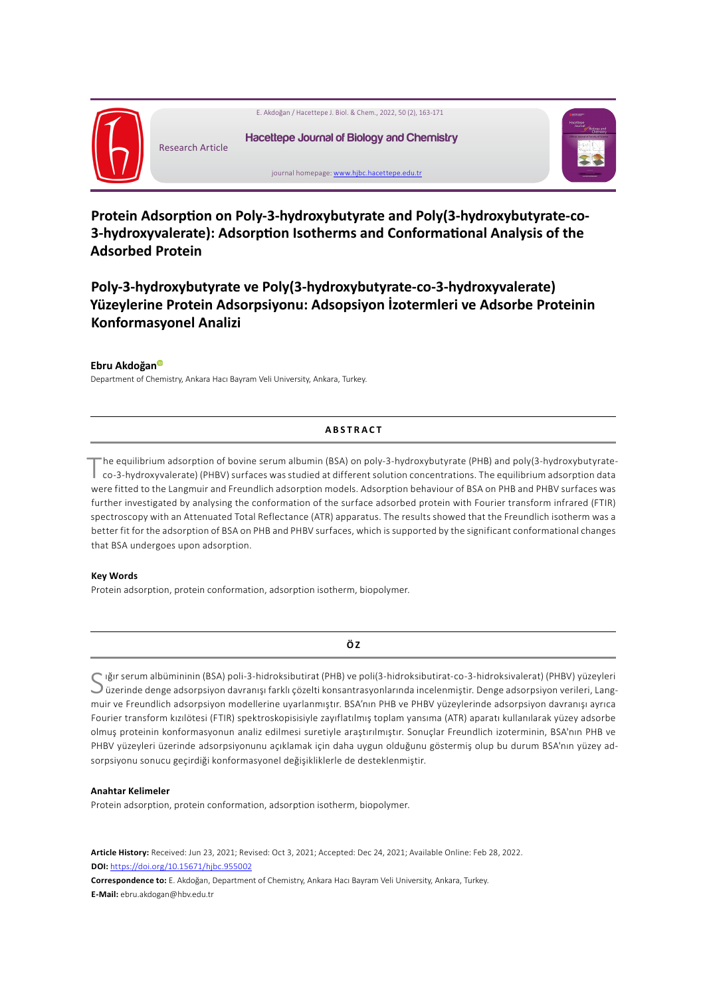

**Protein Adsorption on Poly-3-hydroxybutyrate and Poly(3-hydroxybutyrate-co-3-hydroxyvalerate): Adsorption Isotherms and Conformational Analysis of the Adsorbed Protein**

**Poly-3-hydroxybutyrate ve Poly(3-hydroxybutyrate-co-3-hydroxyvalerate) Yüzeylerine Protein Adsorpsiyonu: Adsopsiyon İzotermleri ve Adsorbe Proteinin Konformasyonel Analizi**

#### **Ebru Akdoğa[n](https://orcid.org/
0000-0002-1388-5595)**

Department of Chemistry, Ankara Hacı Bayram Veli University, Ankara, Turkey.

### **ABSTRACT**

The equilibrium adsorption of bovine serum albumin (BSA) on poly-3-hydroxybutyrate (PHB) and poly(3-hydroxybutyrateco-3-hydroxyvalerate) (PHBV) surfaces was studied at different solution concentrations. The equilibrium adsorption data were fitted to the Langmuir and Freundlich adsorption models. Adsorption behaviour of BSA on PHB and PHBV surfaces was further investigated by analysing the conformation of the surface adsorbed protein with Fourier transform infrared (FTIR) spectroscopy with an Attenuated Total Reflectance (ATR) apparatus. The results showed that the Freundlich isotherm was a better fit for the adsorption of BSA on PHB and PHBV surfaces, which is supported by the significant conformational changes that BSA undergoes upon adsorption.

#### **Key Words**

Protein adsorption, protein conformation, adsorption isotherm, biopolymer.

**Ö Z**

S iğır serum albümininin (BSA) poli-3-hidroksibutirat (PHB) ve poli(3-hidroksibutirat-co-3-hidroksivalerat) (PHBV) yüzeyleri<br>Süzerinde denge adsorpsiyon davranışı farklı çözelti konsantrasyonlarında incelenmiştir. Denge ad muir ve Freundlich adsorpsiyon modellerine uyarlanmıştır. BSA'nın PHB ve PHBV yüzeylerinde adsorpsiyon davranışı ayrıca Fourier transform kızılötesi (FTIR) spektroskopisisiyle zayıflatılmış toplam yansıma (ATR) aparatı kullanılarak yüzey adsorbe olmuş proteinin konformasyonun analiz edilmesi suretiyle araştırılmıştır. Sonuçlar Freundlich izoterminin, BSA'nın PHB ve PHBV yüzeyleri üzerinde adsorpsiyonunu açıklamak için daha uygun olduğunu göstermiş olup bu durum BSA'nın yüzey adsorpsiyonu sonucu geçirdiği konformasyonel değişikliklerle de desteklenmiştir.

#### **Anahtar Kelimeler**

Protein adsorption, protein conformation, adsorption isotherm, biopolymer.

**Article History:** Received: Jun 23, 2021; Revised: Oct 3, 2021; Accepted: Dec 24, 2021; Available Online: Feb 28, 2022. **DOI:** <https://doi.org/10.15671/hjbc.955002>

**Correspondence to:** E. Akdoğan, Department of Chemistry, Ankara Hacı Bayram Veli University, Ankara, Turkey. **E-Mail:** ebru.akdogan@hbv.edu.tr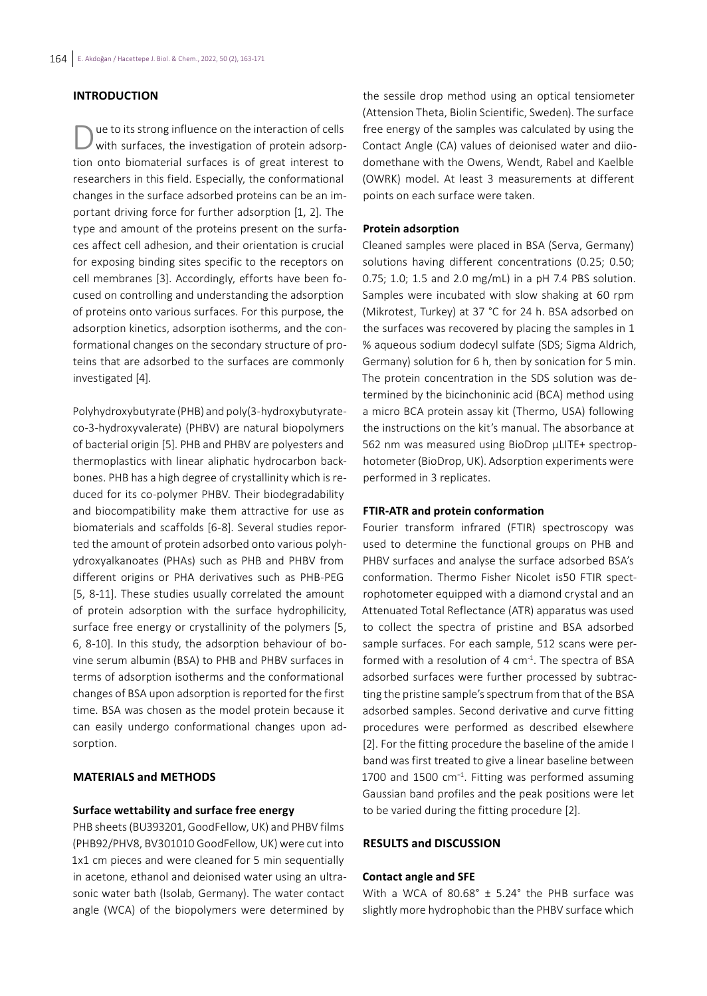# **INTRODUCTION**

Due to its strong influence on the interaction of cells with surfaces, the investigation of protein adsorption onto biomaterial surfaces is of great interest to researchers in this field. Especially, the conformational changes in the surface adsorbed proteins can be an important driving force for further adsorption [1, 2]. The type and amount of the proteins present on the surfaces affect cell adhesion, and their orientation is crucial for exposing binding sites specific to the receptors on cell membranes [3]. Accordingly, efforts have been focused on controlling and understanding the adsorption of proteins onto various surfaces. For this purpose, the adsorption kinetics, adsorption isotherms, and the conformational changes on the secondary structure of proteins that are adsorbed to the surfaces are commonly investigated [4].

Polyhydroxybutyrate (PHB) and poly(3-hydroxybutyrateco-3-hydroxyvalerate) (PHBV) are natural biopolymers of bacterial origin [5]. PHB and PHBV are polyesters and thermoplastics with linear aliphatic hydrocarbon backbones. PHB has a high degree of crystallinity which is reduced for its co-polymer PHBV. Their biodegradability and biocompatibility make them attractive for use as biomaterials and scaffolds [6-8]. Several studies reported the amount of protein adsorbed onto various polyhydroxyalkanoates (PHAs) such as PHB and PHBV from different origins or PHA derivatives such as PHB-PEG [5, 8-11]. These studies usually correlated the amount of protein adsorption with the surface hydrophilicity, surface free energy or crystallinity of the polymers [5, 6, 8-10]. In this study, the adsorption behaviour of bovine serum albumin (BSA) to PHB and PHBV surfaces in terms of adsorption isotherms and the conformational changes of BSA upon adsorption is reported for the first time. BSA was chosen as the model protein because it can easily undergo conformational changes upon adsorption.

## **MATERIALS and METHODS**

# **Surface wettability and surface free energy**

PHB sheets (BU393201, GoodFellow, UK) and PHBV films (PHB92/PHV8, BV301010 GoodFellow, UK) were cut into 1x1 cm pieces and were cleaned for 5 min sequentially in acetone, ethanol and deionised water using an ultrasonic water bath (Isolab, Germany). The water contact angle (WCA) of the biopolymers were determined by

the sessile drop method using an optical tensiometer (Attension Theta, Biolin Scientific, Sweden). The surface free energy of the samples was calculated by using the Contact Angle (CA) values of deionised water and diiodomethane with the Owens, Wendt, Rabel and Kaelble (OWRK) model. At least 3 measurements at different points on each surface were taken.

### **Protein adsorption**

Cleaned samples were placed in BSA (Serva, Germany) solutions having different concentrations (0.25; 0.50; 0.75; 1.0; 1.5 and 2.0 mg/mL) in a pH 7.4 PBS solution. Samples were incubated with slow shaking at 60 rpm (Mikrotest, Turkey) at 37 °C for 24 h. BSA adsorbed on the surfaces was recovered by placing the samples in 1 % aqueous sodium dodecyl sulfate (SDS; Sigma Aldrich, Germany) solution for 6 h, then by sonication for 5 min. The protein concentration in the SDS solution was determined by the bicinchoninic acid (BCA) method using a micro BCA protein assay kit (Thermo, USA) following the instructions on the kit's manual. The absorbance at 562 nm was measured using BioDrop µLITE+ spectrophotometer (BioDrop, UK). Adsorption experiments were performed in 3 replicates.

# **FTIR-ATR and protein conformation**

Fourier transform infrared (FTIR) spectroscopy was used to determine the functional groups on PHB and PHBV surfaces and analyse the surface adsorbed BSA's conformation. Thermo Fisher Nicolet is50 FTIR spectrophotometer equipped with a diamond crystal and an Attenuated Total Reflectance (ATR) apparatus was used to collect the spectra of pristine and BSA adsorbed sample surfaces. For each sample, 512 scans were performed with a resolution of 4 cm<sup>-1</sup>. The spectra of BSA adsorbed surfaces were further processed by subtracting the pristine sample's spectrum from that of the BSA adsorbed samples. Second derivative and curve fitting procedures were performed as described elsewhere [2]. For the fitting procedure the baseline of the amide I band was first treated to give a linear baseline between 1700 and 1500 cm−1. Fitting was performed assuming Gaussian band profiles and the peak positions were let to be varied during the fitting procedure [2].

# **RESULTS and DISCUSSION**

### **Contact angle and SFE**

With a WCA of  $80.68^{\circ}$  ± 5.24° the PHB surface was slightly more hydrophobic than the PHBV surface which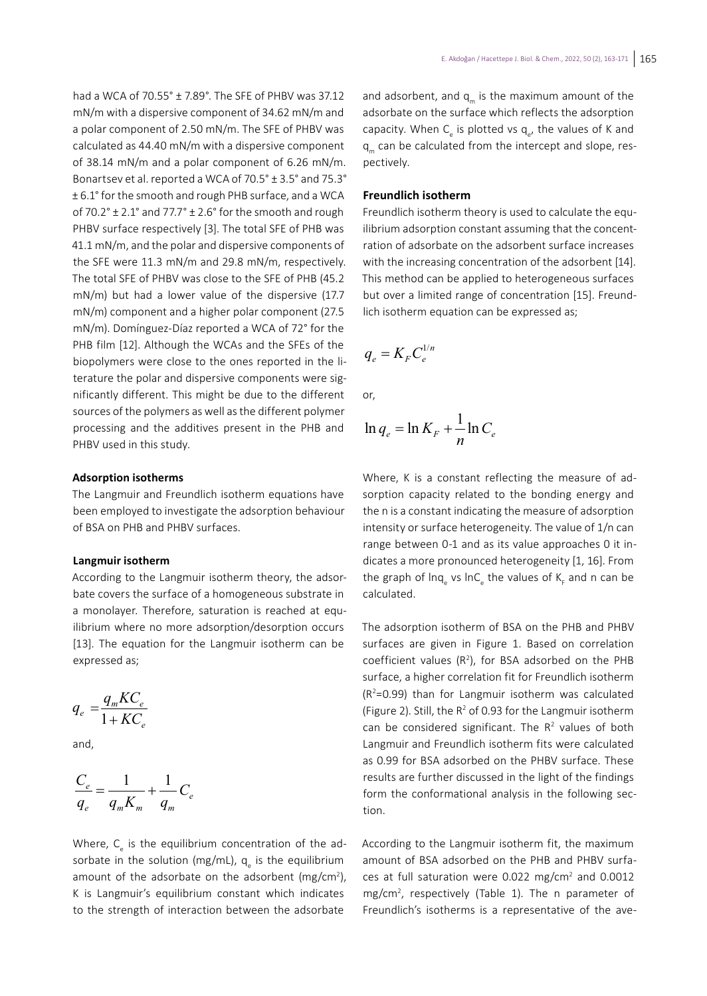had a WCA of 70.55° ± 7.89°. The SFE of PHBV was 37.12 mN/m with a dispersive component of 34.62 mN/m and a polar component of 2.50 mN/m. The SFE of PHBV was calculated as 44.40 mN/m with a dispersive component of 38.14 mN/m and a polar component of 6.26 mN/m. Bonartsev et al. reported a WCA of 70.5° ± 3.5° and 75.3° ± 6.1° for the smooth and rough PHB surface, and a WCA of  $70.2^\circ \pm 2.1^\circ$  and  $77.7^\circ \pm 2.6^\circ$  for the smooth and rough PHBV surface respectively [3]. The total SFE of PHB was 41.1 mN/m, and the polar and dispersive components of the SFE were 11.3 mN/m and 29.8 mN/m, respectively. The total SFE of PHBV was close to the SFE of PHB (45.2 mN/m) but had a lower value of the dispersive (17.7 mN/m) component and a higher polar component (27.5 mN/m). Domínguez-Díaz reported a WCA of 72° for the PHB film [12]. Although the WCAs and the SFEs of the biopolymers were close to the ones reported in the literature the polar and dispersive components were significantly different. This might be due to the different sources of the polymers as well as the different polymer processing and the additives present in the PHB and PHBV used in this study.

### **Adsorption isotherms**

The Langmuir and Freundlich isotherm equations have been employed to investigate the adsorption behaviour of BSA on PHB and PHBV surfaces.

## **Langmuir isotherm**

According to the Langmuir isotherm theory, the adsorbate covers the surface of a homogeneous substrate in a monolayer. Therefore, saturation is reached at equilibrium where no more adsorption/desorption occurs [13]. The equation for the Langmuir isotherm can be expressed as;

$$
q_e = \frac{q_m K C_e}{1 + K C_e}
$$

and,

$$
\frac{C_e}{q_e} = \frac{1}{q_m K_m} + \frac{1}{q_m} C_e
$$

Where, C<sub>e</sub> is the equilibrium concentration of the adsorbate in the solution (mg/mL), q<sub>e</sub> is the equilibrium amount of the adsorbate on the adsorbent (mg/ $cm<sup>2</sup>$ ), K is Langmuir's equilibrium constant which indicates to the strength of interaction between the adsorbate

and adsorbent, and  $q_m$  is the maximum amount of the adsorbate on the surface which reflects the adsorption capacity. When  $\mathsf{C}_{_{\mathrm{e}}}$  is plotted vs  $\mathsf{q}_{_{\mathrm{e}}}$ , the values of K and q<sub>m</sub> can be calculated from the intercept and slope, respectively.

### **Freundlich isotherm**

Freundlich isotherm theory is used to calculate the equilibrium adsorption constant assuming that the concentration of adsorbate on the adsorbent surface increases with the increasing concentration of the adsorbent [14]. This method can be applied to heterogeneous surfaces but over a limited range of concentration [15]. Freundlich isotherm equation can be expressed as;

$$
q_e = K_{\scriptscriptstyle F} C_{\scriptscriptstyle e}^{\scriptscriptstyle 1/n}
$$

or,

$$
\ln q_e = \ln K_F + \frac{1}{n} \ln C_e
$$

Where, K is a constant reflecting the measure of adsorption capacity related to the bonding energy and the n is a constant indicating the measure of adsorption intensity or surface heterogeneity. The value of 1/n can range between 0-1 and as its value approaches 0 it indicates a more pronounced heterogeneity [1, 16]. From the graph of lnq<sub>e</sub> vs lnC<sub>e</sub> the values of K<sub>F</sub> and n can be calculated.

The adsorption isotherm of BSA on the PHB and PHBV surfaces are given in Figure 1. Based on correlation coefficient values  $(R^2)$ , for BSA adsorbed on the PHB surface, a higher correlation fit for Freundlich isotherm (R2 =0.99) than for Langmuir isotherm was calculated (Figure 2). Still, the  $R^2$  of 0.93 for the Langmuir isotherm can be considered significant. The  $R<sup>2</sup>$  values of both Langmuir and Freundlich isotherm fits were calculated as 0.99 for BSA adsorbed on the PHBV surface. These results are further discussed in the light of the findings form the conformational analysis in the following section.

According to the Langmuir isotherm fit, the maximum amount of BSA adsorbed on the PHB and PHBV surfaces at full saturation were 0.022 mg/cm<sup>2</sup> and 0.0012 mg/cm<sup>2</sup>, respectively (Table 1). The n parameter of Freundlich's isotherms is a representative of the ave-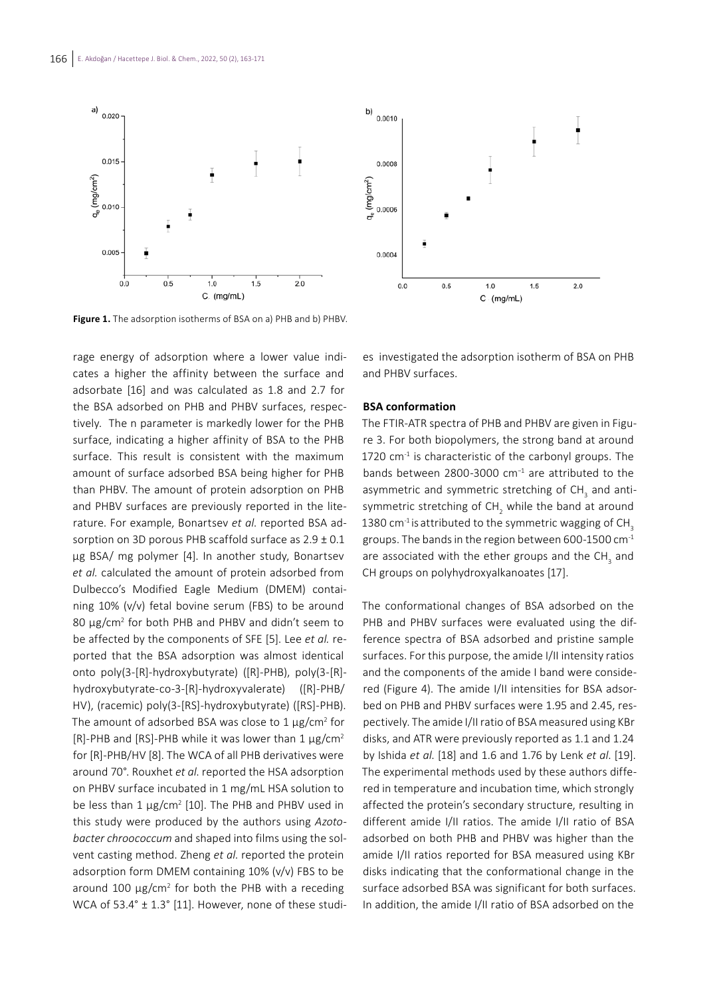



Figure 1. The adsorption isotherms of BSA on a) PHB and b) PHBV.

rage energy of adsorption where a lower value indicates a higher the affinity between the surface and adsorbate [16] and was calculated as 1.8 and 2.7 for the BSA adsorbed on PHB and PHBV surfaces, respectively. The n parameter is markedly lower for the PHB surface, indicating a higher affinity of BSA to the PHB surface. This result is consistent with the maximum amount of surface adsorbed BSA being higher for PHB than PHBV. The amount of protein adsorption on PHB and PHBV surfaces are previously reported in the literature. For example, Bonartsev *et al*. reported BSA adsorption on 3D porous PHB scaffold surface as  $2.9 \pm 0.1$ μg BSA/ mg polymer [4]. In another study, Bonartsev *et al.* calculated the amount of protein adsorbed from Dulbecco's Modified Eagle Medium (DMEM) containing 10% (v/v) fetal bovine serum (FBS) to be around 80 μg/cm2 for both PHB and PHBV and didn't seem to be affected by the components of SFE [5]. Lee *et al.* reported that the BSA adsorption was almost identical onto poly(3-[R]-hydroxybutyrate) ([R]-PHB), poly(3-[R] hydroxybutyrate-co-3-[R]-hydroxyvalerate) ([R]-PHB/ HV), (racemic) poly(3-[RS]-hydroxybutyrate) ([RS]-PHB). The amount of adsorbed BSA was close to  $1 \mu$ g/cm<sup>2</sup> for [R]-PHB and [RS]-PHB while it was lower than 1  $\mu$ g/cm<sup>2</sup> for [R]-PHB/HV [8]. The WCA of all PHB derivatives were around 70°. Rouxhet *et al*. reported the HSA adsorption on PHBV surface incubated in 1 mg/mL HSA solution to be less than  $1 \mu$ g/cm<sup>2</sup> [10]. The PHB and PHBV used in this study were produced by the authors using *Azotobacter chroococcum* and shaped into films using the solvent casting method. Zheng *et al*. reported the protein adsorption form DMEM containing 10% (v/v) FBS to be around 100 μg/cm<sup>2</sup> for both the PHB with a receding WCA of 53.4° ± 1.3° [11]. However, none of these studi-

es investigated the adsorption isotherm of BSA on PHB and PHBV surfaces.

### **BSA conformation**

The FTIR-ATR spectra of PHB and PHBV are given in Figure 3. For both biopolymers, the strong band at around 1720  $cm<sup>-1</sup>$  is characteristic of the carbonyl groups. The bands between 2800-3000 cm<sup>-1</sup> are attributed to the asymmetric and symmetric stretching of CH<sub>3</sub> and antisymmetric stretching of CH<sub>2</sub> while the band at around 1380  $cm^{-1}$  is attributed to the symmetric wagging of CH<sub>3</sub> groups. The bands in the region between 600-1500  $cm<sup>-1</sup>$ are associated with the ether groups and the CH<sub>3</sub> and CH groups on polyhydroxyalkanoates [17].

The conformational changes of BSA adsorbed on the PHB and PHBV surfaces were evaluated using the difference spectra of BSA adsorbed and pristine sample surfaces. For this purpose, the amide I/II intensity ratios and the components of the amide I band were considered (Figure 4). The amide I/II intensities for BSA adsorbed on PHB and PHBV surfaces were 1.95 and 2.45, respectively. The amide I/II ratio of BSA measured using KBr disks, and ATR were previously reported as 1.1 and 1.24 by Ishida *et al*. [18] and 1.6 and 1.76 by Lenk *et al*. [19]. The experimental methods used by these authors differed in temperature and incubation time, which strongly affected the protein's secondary structure, resulting in different amide I/II ratios. The amide I/II ratio of BSA adsorbed on both PHB and PHBV was higher than the amide I/II ratios reported for BSA measured using KBr disks indicating that the conformational change in the surface adsorbed BSA was significant for both surfaces. In addition, the amide I/II ratio of BSA adsorbed on the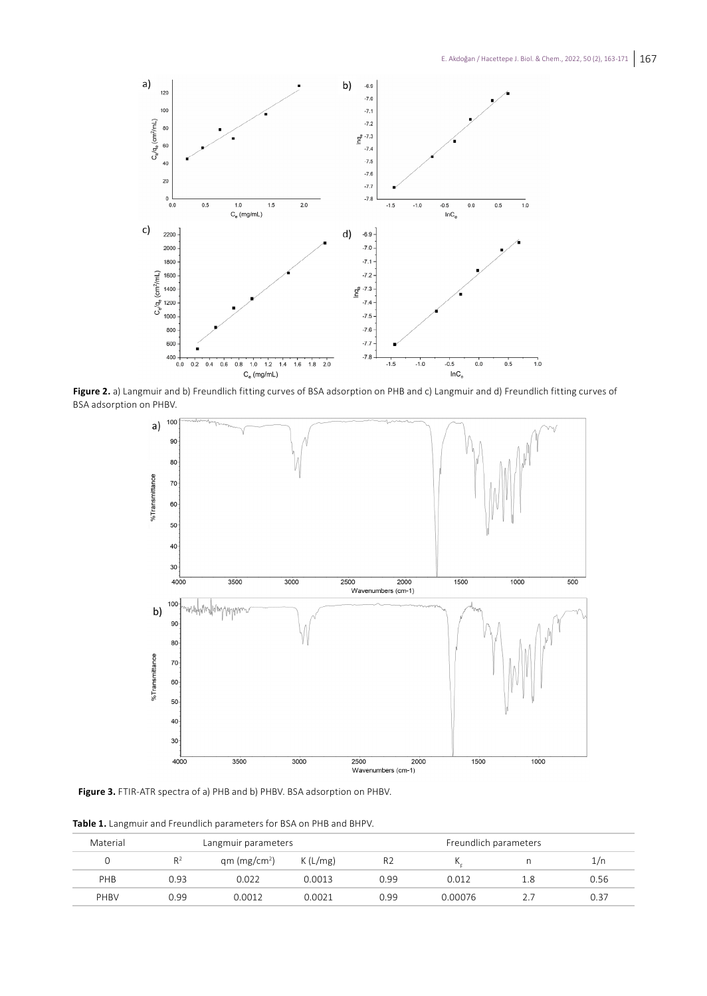

**Figure 2.** a) Langmuir and b) Freundlich fitting curves of BSA adsorption on PHB and c) Langmuir and d) Freundlich fitting curves of BSA adsorption on PHBV.



**Figure 3.** FTIR-ATR spectra of a) PHB and b) PHBV. BSA adsorption on PHBV.

| Material |       | Langmuir parameters      |         | Freundlich parameters |         |     |      |
|----------|-------|--------------------------|---------|-----------------------|---------|-----|------|
|          | $R^2$ | qm (mg/cm <sup>2</sup> ) | K(L/mg) | R <sub>2</sub>        |         |     | 1/n  |
| PHB      | 0.93  | 0.022                    | 0.0013  | 0.99                  | 0.012   | 1.8 | 0.56 |
| PHBV     | 0.99  | 0.0012                   | 0.0021  | 0.99                  | 0.00076 |     | 0.37 |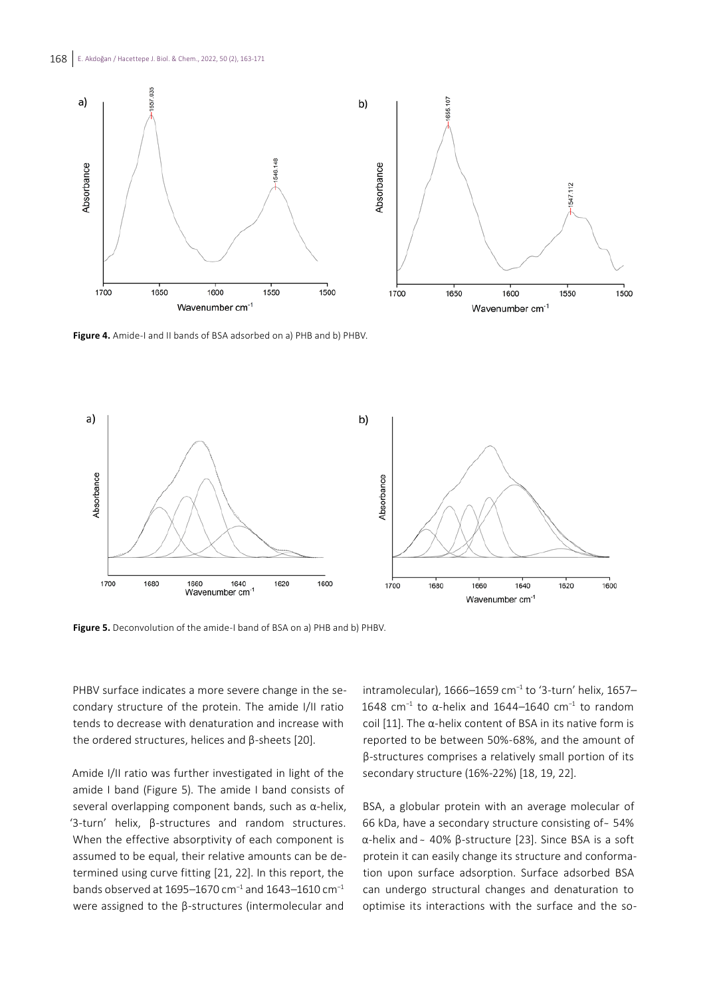

Figure 4. Amide-I and II bands of BSA adsorbed on a) PHB and b) PHBV.



**Figure 5.** Deconvolution of the amide-I band of BSA on a) PHB and b) PHBV.

PHBV surface indicates a more severe change in the secondary structure of the protein. The amide I/II ratio tends to decrease with denaturation and increase with the ordered structures, helices and β-sheets [20].

Amide I/II ratio was further investigated in light of the amide I band (Figure 5). The amide I band consists of several overlapping component bands, such as α-helix, '3-turn' helix, β-structures and random structures. When the effective absorptivity of each component is assumed to be equal, their relative amounts can be determined using curve fitting [21, 22]. In this report, the bands observed at 1695–1670 cm−1 and 1643–1610 cm−1 were assigned to the β-structures (intermolecular and

intramolecular), 1666–1659 cm−1 to '3-turn' helix, 1657– 1648 cm<sup>-1</sup> to α-helix and 1644–1640 cm<sup>-1</sup> to random coil [11]. The α-helix content of BSA in its native form is reported to be between 50%-68%, and the amount of β-structures comprises a relatively small portion of its secondary structure (16%-22%) [18, 19, 22].

BSA, a globular protein with an average molecular of 66 kDa, have a secondary structure consisting of ~ 54% α-helix and ̴ 40% β-structure [23]. Since BSA is a soft protein it can easily change its structure and conformation upon surface adsorption. Surface adsorbed BSA can undergo structural changes and denaturation to optimise its interactions with the surface and the so-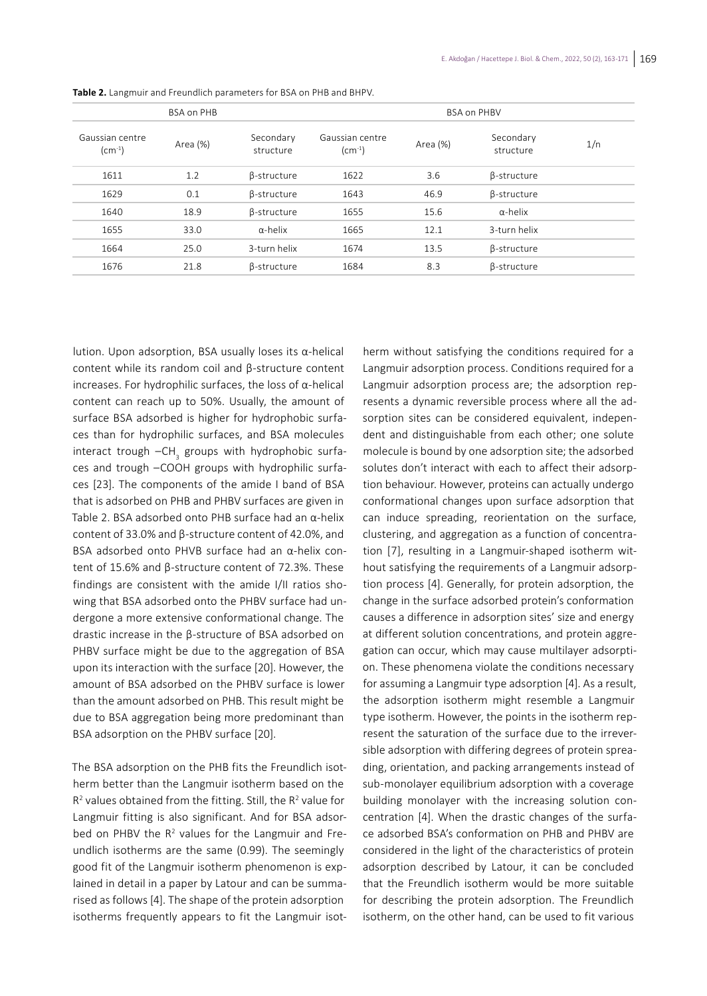|                             | <b>BSA on PHB</b> |                        | <b>BSA on PHBV</b>                           |          |                        |     |  |  |
|-----------------------------|-------------------|------------------------|----------------------------------------------|----------|------------------------|-----|--|--|
| Gaussian centre<br>$(cm-1)$ | Area (%)          | Secondary<br>structure | Gaussian centre<br>$\text{(cm}^{-1}\text{)}$ | Area (%) | Secondary<br>structure | 1/n |  |  |
| 1611                        | 1.2               | β-structure            | 1622                                         | 3.6      | β-structure            |     |  |  |
| 1629                        | 0.1               | β-structure            | 1643                                         | 46.9     | β-structure            |     |  |  |
| 1640                        | 18.9              | β-structure            | 1655                                         | 15.6     | $\alpha$ -helix        |     |  |  |
| 1655                        | 33.0              | $\alpha$ -helix        | 1665                                         | 12.1     | 3-turn helix           |     |  |  |
| 1664                        | 25.0              | 3-turn helix           | 1674                                         | 13.5     | β-structure            |     |  |  |
| 1676                        | 21.8              | β-structure            | 1684                                         | 8.3      | β-structure            |     |  |  |

**Table 2.** Langmuir and Freundlich parameters for BSA on PHB and BHPV.

lution. Upon adsorption, BSA usually loses its α-helical content while its random coil and β-structure content increases. For hydrophilic surfaces, the loss of α-helical content can reach up to 50%. Usually, the amount of surface BSA adsorbed is higher for hydrophobic surfaces than for hydrophilic surfaces, and BSA molecules interact trough  $-$ CH<sub>3</sub> groups with hydrophobic surfaces and trough –COOH groups with hydrophilic surfaces [23]. The components of the amide I band of BSA that is adsorbed on PHB and PHBV surfaces are given in Table 2. BSA adsorbed onto PHB surface had an α-helix content of 33.0% and β-structure content of 42.0%, and BSA adsorbed onto PHVB surface had an α-helix content of 15.6% and β-structure content of 72.3%. These findings are consistent with the amide I/II ratios showing that BSA adsorbed onto the PHBV surface had undergone a more extensive conformational change. The drastic increase in the β-structure of BSA adsorbed on PHBV surface might be due to the aggregation of BSA upon its interaction with the surface [20]. However, the amount of BSA adsorbed on the PHBV surface is lower than the amount adsorbed on PHB. This result might be due to BSA aggregation being more predominant than BSA adsorption on the PHBV surface [20].

The BSA adsorption on the PHB fits the Freundlich isotherm better than the Langmuir isotherm based on the  $R<sup>2</sup>$  values obtained from the fitting. Still, the  $R<sup>2</sup>$  value for Langmuir fitting is also significant. And for BSA adsorbed on PHBV the R<sup>2</sup> values for the Langmuir and Freundlich isotherms are the same (0.99). The seemingly good fit of the Langmuir isotherm phenomenon is explained in detail in a paper by Latour and can be summarised as follows [4]. The shape of the protein adsorption isotherms frequently appears to fit the Langmuir isotherm without satisfying the conditions required for a Langmuir adsorption process. Conditions required for a Langmuir adsorption process are; the adsorption represents a dynamic reversible process where all the adsorption sites can be considered equivalent, independent and distinguishable from each other; one solute molecule is bound by one adsorption site; the adsorbed solutes don't interact with each to affect their adsorption behaviour. However, proteins can actually undergo conformational changes upon surface adsorption that can induce spreading, reorientation on the surface, clustering, and aggregation as a function of concentration [7], resulting in a Langmuir-shaped isotherm without satisfying the requirements of a Langmuir adsorption process [4]. Generally, for protein adsorption, the change in the surface adsorbed protein's conformation causes a difference in adsorption sites' size and energy at different solution concentrations, and protein aggregation can occur, which may cause multilayer adsorption. These phenomena violate the conditions necessary for assuming a Langmuir type adsorption [4]. As a result, the adsorption isotherm might resemble a Langmuir type isotherm. However, the points in the isotherm represent the saturation of the surface due to the irreversible adsorption with differing degrees of protein spreading, orientation, and packing arrangements instead of sub-monolayer equilibrium adsorption with a coverage building monolayer with the increasing solution concentration [4]. When the drastic changes of the surface adsorbed BSA's conformation on PHB and PHBV are considered in the light of the characteristics of protein adsorption described by Latour, it can be concluded that the Freundlich isotherm would be more suitable for describing the protein adsorption. The Freundlich isotherm, on the other hand, can be used to fit various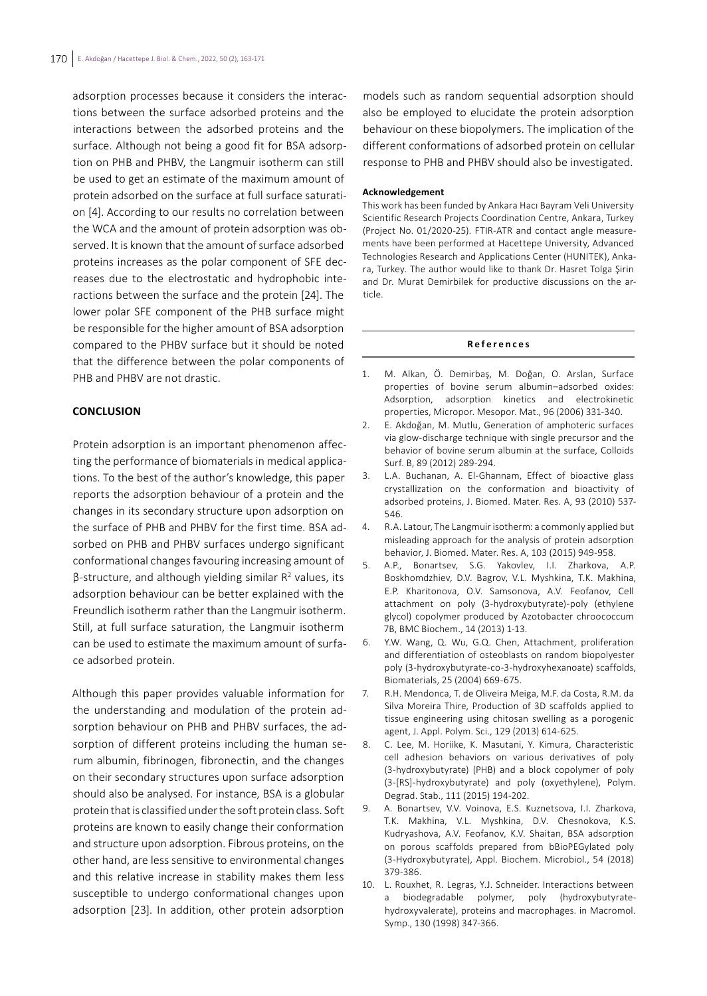adsorption processes because it considers the interactions between the surface adsorbed proteins and the interactions between the adsorbed proteins and the surface. Although not being a good fit for BSA adsorption on PHB and PHBV, the Langmuir isotherm can still be used to get an estimate of the maximum amount of protein adsorbed on the surface at full surface saturation [4]. According to our results no correlation between the WCA and the amount of protein adsorption was observed. It is known that the amount of surface adsorbed proteins increases as the polar component of SFE decreases due to the electrostatic and hydrophobic interactions between the surface and the protein [24]. The lower polar SFE component of the PHB surface might be responsible for the higher amount of BSA adsorption compared to the PHBV surface but it should be noted that the difference between the polar components of PHB and PHBV are not drastic.

## **CONCLUSION**

Protein adsorption is an important phenomenon affecting the performance of biomaterials in medical applications. To the best of the author's knowledge, this paper reports the adsorption behaviour of a protein and the changes in its secondary structure upon adsorption on the surface of PHB and PHBV for the first time. BSA adsorbed on PHB and PHBV surfaces undergo significant conformational changes favouring increasing amount of  $β$ -structure, and although yielding similar  $R^2$  values, its adsorption behaviour can be better explained with the Freundlich isotherm rather than the Langmuir isotherm. Still, at full surface saturation, the Langmuir isotherm can be used to estimate the maximum amount of surface adsorbed protein.

Although this paper provides valuable information for the understanding and modulation of the protein adsorption behaviour on PHB and PHBV surfaces, the adsorption of different proteins including the human serum albumin, fibrinogen, fibronectin, and the changes on their secondary structures upon surface adsorption should also be analysed. For instance, BSA is a globular protein that is classified under the soft protein class. Soft proteins are known to easily change their conformation and structure upon adsorption. Fibrous proteins, on the other hand, are less sensitive to environmental changes and this relative increase in stability makes them less susceptible to undergo conformational changes upon adsorption [23]. In addition, other protein adsorption

models such as random sequential adsorption should also be employed to elucidate the protein adsorption behaviour on these biopolymers. The implication of the different conformations of adsorbed protein on cellular response to PHB and PHBV should also be investigated.

### **Acknowledgement**

This work has been funded by Ankara Hacı Bayram Veli University Scientific Research Projects Coordination Centre, Ankara, Turkey (Project No. 01/2020-25). FTIR-ATR and contact angle measurements have been performed at Hacettepe University, Advanced Technologies Research and Applications Center (HUNITEK), Ankara, Turkey. The author would like to thank Dr. Hasret Tolga Şirin and Dr. Murat Demirbilek for productive discussions on the article.

#### **References**

- 1. M. Alkan, Ö. Demirbaş, M. Doğan, O. Arslan, Surface properties of bovine serum albumin–adsorbed oxides: Adsorption, adsorption kinetics and electrokinetic properties, Micropor. Mesopor. Mat., 96 (2006) 331-340.
- 2. E. Akdoğan, M. Mutlu, Generation of amphoteric surfaces via glow-discharge technique with single precursor and the behavior of bovine serum albumin at the surface, Colloids Surf. B, 89 (2012) 289-294.
- 3. L.A. Buchanan, A. El-Ghannam, Effect of bioactive glass crystallization on the conformation and bioactivity of adsorbed proteins, J. Biomed. Mater. Res. A, 93 (2010) 537- 546.
- 4. R.A. Latour, The Langmuir isotherm: a commonly applied but misleading approach for the analysis of protein adsorption behavior, J. Biomed. Mater. Res. A, 103 (2015) 949-958.
- 5. A.P., Bonartsev, S.G. Yakovlev, I.I. Zharkova, A.P. Boskhomdzhiev, D.V. Bagrov, V.L. Myshkina, T.K. Makhina, E.P. Kharitonova, O.V. Samsonova, A.V. Feofanov, Cell attachment on poly (3-hydroxybutyrate)-poly (ethylene glycol) copolymer produced by Azotobacter chroococcum 7B, BMC Biochem., 14 (2013) 1-13.
- 6. Y.W. Wang, Q. Wu, G.Q. Chen, Attachment, proliferation and differentiation of osteoblasts on random biopolyester poly (3-hydroxybutyrate-co-3-hydroxyhexanoate) scaffolds, Biomaterials, 25 (2004) 669-675.
- 7. R.H. Mendonca, T. de Oliveira Meiga, M.F. da Costa, R.M. da Silva Moreira Thire, Production of 3D scaffolds applied to tissue engineering using chitosan swelling as a porogenic agent, J. Appl. Polym. Sci., 129 (2013) 614-625.
- 8. C. Lee, M. Horiike, K. Masutani, Y. Kimura, Characteristic cell adhesion behaviors on various derivatives of poly (3-hydroxybutyrate) (PHB) and a block copolymer of poly (3-[RS]-hydroxybutyrate) and poly (oxyethylene), Polym. Degrad. Stab., 111 (2015) 194-202.
- 9. A. Bonartsev, V.V. Voinova, E.S. Kuznetsova, I.I. Zharkova, T.K. Makhina, V.L. Myshkina, D.V. Chesnokova, K.S. Kudryashova, A.V. Feofanov, K.V. Shaitan, BSA adsorption on porous scaffolds prepared from bBioPEGylated poly (3-Hydroxybutyrate), Appl. Biochem. Microbiol., 54 (2018) 379-386.
- 10. L. Rouxhet, R. Legras, Y.J. Schneider. Interactions between a biodegradable polymer, poly (hydroxybutyratehydroxyvalerate), proteins and macrophages. in Macromol. Symp., 130 (1998) 347-366.